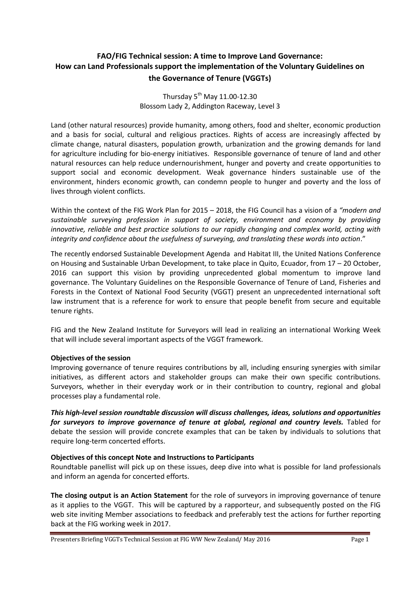# **FAO/FIG Technical session: A time to Improve Land Governance: How can Land Professionals support the implementation of the Voluntary Guidelines on the Governance of Tenure (VGGTs)**

Thursday  $5<sup>th</sup>$  May 11.00-12.30 Blossom Lady 2, Addington Raceway, Level 3

Land (other natural resources) provide humanity, among others, food and shelter, economic production and a basis for social, cultural and religious practices. Rights of access are increasingly affected by climate change, natural disasters, population growth, urbanization and the growing demands for land for agriculture including for bio-energy initiatives. Responsible governance of tenure of land and other natural resources can help reduce undernourishment, hunger and poverty and create opportunities to support social and economic development. Weak governance hinders sustainable use of the environment, hinders economic growth, can condemn people to hunger and poverty and the loss of lives through violent conflicts.

Within the context of the FIG Work Plan for 2015 – 2018, the FIG Council has a vision of a *"modern and sustainable surveying profession in support of society, environment and economy by providing innovative, reliable and best practice solutions to our rapidly changing and complex world, acting with integrity and confidence about the usefulness of surveying, and translating these words into action*."

The recently endorsed Sustainable Development Agenda and Habitat III, the United Nations Conference on Housing and Sustainable Urban Development, to take place in Quito, Ecuador, from 17 – 20 October, 2016 can support this vision by providing unprecedented global momentum to improve land governance. The Voluntary Guidelines on the Responsible Governance of Tenure of Land, Fisheries and Forests in the Context of National Food Security (VGGT) present an unprecedented international soft law instrument that is a reference for work to ensure that people benefit from secure and equitable tenure rights.

FIG and the New Zealand Institute for Surveyors will lead in realizing an international Working Week that will include several important aspects of the VGGT framework.

## **Objectives of the session**

Improving governance of tenure requires contributions by all, including ensuring synergies with similar initiatives, as different actors and stakeholder groups can make their own specific contributions. Surveyors, whether in their everyday work or in their contribution to country, regional and global processes play a fundamental role.

*This high-level session roundtable discussion will discuss challenges, ideas, solutions and opportunities for surveyors to improve governance of tenure at global, regional and country levels.* Tabled for debate the session will provide concrete examples that can be taken by individuals to solutions that require long-term concerted efforts.

#### **Objectives of this concept Note and Instructions to Participants**

Roundtable panellist will pick up on these issues, deep dive into what is possible for land professionals and inform an agenda for concerted efforts.

**The closing output is an Action Statement** for the role of surveyors in improving governance of tenure as it applies to the VGGT. This will be captured by a rapporteur, and subsequently posted on the FIG web site inviting Member associations to feedback and preferably test the actions for further reporting back at the FIG working week in 2017.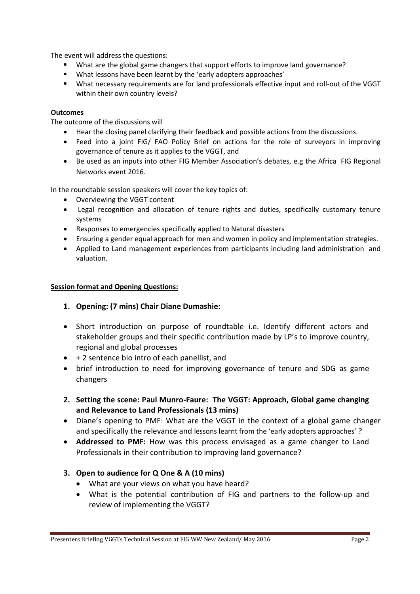The event will address the questions:

- What are the global game changers that support efforts to improve land governance?
- What lessons have been learnt by the 'early adopters approaches'
- What necessary requirements are for land professionals effective input and roll-out of the VGGT within their own country levels?

#### **Outcomes**

The outcome of the discussions will

- Hear the closing panel clarifying their feedback and possible actions from the discussions.
- Feed into a joint FIG/ FAO Policy Brief on actions for the role of surveyors in improving governance of tenure as it applies to the VGGT, and
- Be used as an inputs into other FIG Member Association's debates, e.g the Africa FIG Regional Networks event 2016.

In the roundtable session speakers will cover the key topics of:

- Overviewing the VGGT content
- Legal recognition and allocation of tenure rights and duties, specifically customary tenure systems
- Responses to emergencies specifically applied to Natural disasters
- Ensuring a gender equal approach for men and women in policy and implementation strategies.
- Applied to Land management experiences from participants including land administration and valuation.

#### **Session format and Opening Questions:**

## **1. Opening: (7 mins) Chair Diane Dumashie:**

- Short introduction on purpose of roundtable i.e. Identify different actors and stakeholder groups and their specific contribution made by LP's to improve country, regional and global processes
- $\bullet$  + 2 sentence bio intro of each panellist, and
- brief introduction to need for improving governance of tenure and SDG as game changers
- **2. Setting the scene: Paul Munro-Faure: The VGGT: Approach, Global game changing and Relevance to Land Professionals (13 mins)**
- Diane's opening to PMF: What are the VGGT in the context of a global game changer and specifically the relevance and lessons learnt from the 'early adopters approaches' ?
- **Addressed to PMF:** How was this process envisaged as a game changer to Land Professionals in their contribution to improving land governance?

## **3. Open to audience for Q One & A (10 mins)**

- What are your views on what you have heard?
- What is the potential contribution of FIG and partners to the follow-up and review of implementing the VGGT?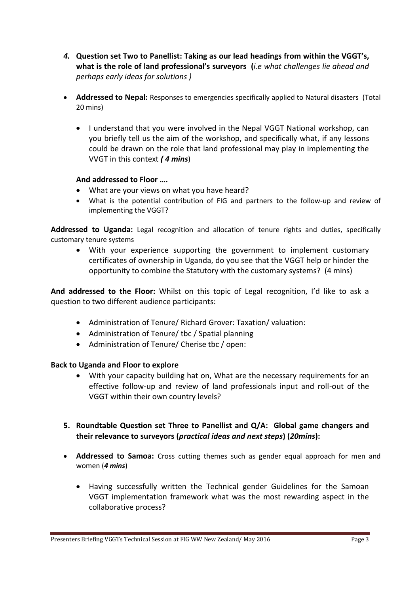- *4.* **Question set Two to Panellist: Taking as our lead headings from within the VGGT's, what is the role of land professional's surveyors (***i.e what challenges lie ahead and perhaps early ideas for solutions )*
- **Addressed to Nepal:** Responses to emergencies specifically applied to Natural disasters (Total 20 mins)
	- I understand that you were involved in the Nepal VGGT National workshop, can you briefly tell us the aim of the workshop, and specifically what, if any lessons could be drawn on the role that land professional may play in implementing the VVGT in this context *( 4 mins*)

# **And addressed to Floor ….**

- What are your views on what you have heard?
- What is the potential contribution of FIG and partners to the follow‐up and review of implementing the VGGT?

**Addressed to Uganda:** Legal recognition and allocation of tenure rights and duties, specifically customary tenure systems

 With your experience supporting the government to implement customary certificates of ownership in Uganda, do you see that the VGGT help or hinder the opportunity to combine the Statutory with the customary systems? (4 mins)

**And addressed to the Floor:** Whilst on this topic of Legal recognition, I'd like to ask a question to two different audience participants:

- Administration of Tenure/ Richard Grover: Taxation/ valuation:
- Administration of Tenure/ tbc / Spatial planning
- Administration of Tenure/ Cherise tbc / open:

## **Back to Uganda and Floor to explore**

- With your capacity building hat on, What are the necessary requirements for an effective follow‐up and review of land professionals input and roll-out of the VGGT within their own country levels?
- **5. Roundtable Question set Three to Panellist and Q/A: Global game changers and their relevance to surveyors (***practical ideas and next steps***) (***20mins***):**
- **Addressed to Samoa:** Cross cutting themes such as gender equal approach for men and women (*4 mins*)
	- Having successfully written the Technical gender Guidelines for the Samoan VGGT implementation framework what was the most rewarding aspect in the collaborative process?

Presenters Briefing VGGTs Technical Session at FIG WW New Zealand/May 2016 Page 3